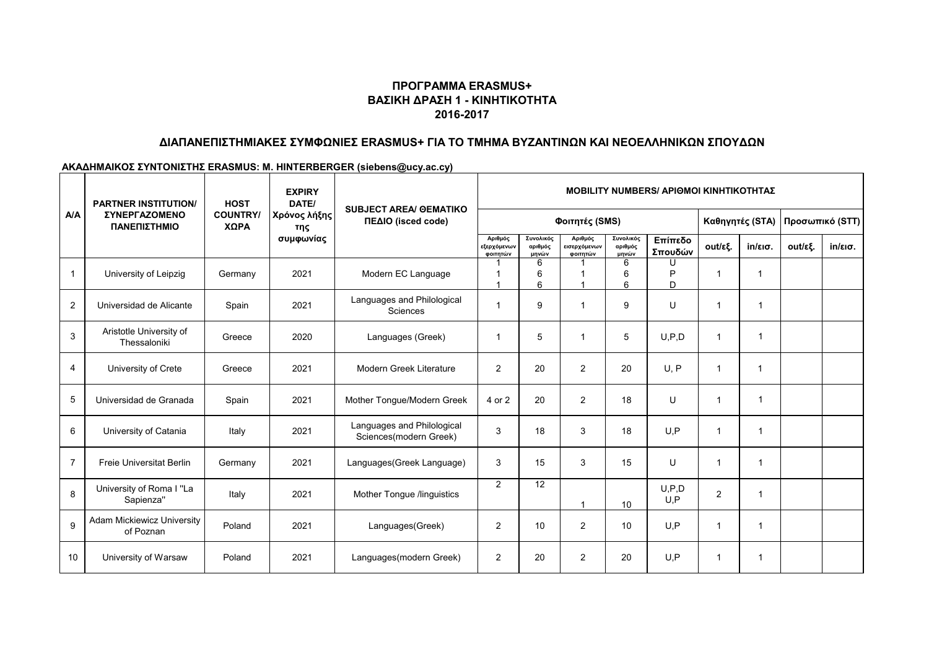# **ΠΡΟΓΡΑΜΜΑ ERASMUS+ ΒΑΣΙΚΗ ΔΡΑΣΗ 1 - ΚΙΝΗΤΙΚΟΤΗΤΑ 2016-2017**

# **ΔΙΑΠΑΝΕΠΙΣΤΗΜΙΑΚΕΣ ΣΥΜΦΩΝΙΕΣ ERASMUS+ ΓΙΑ ΤΟ ΤΜΗΜΑ ΒΥΖΑΝΤΙΝΩΝ ΚΑΙ ΝΕΟΕΛΛΗΝΙΚΩΝ ΣΠΟΥΔΩΝ**

#### **ΑΚΑΔΗΜΑΙΚΟΣ ΣΥΝΤΟΝΙΣΤΗΣ ERASMUS: M. HINTERBERGER (siebens@ucy.ac.cy)**

| A/A            | <b>PARTNER INSTITUTION/</b><br><b>ΣΥΝΕΡΓΑΖΟΜΕΝΟ</b><br>ΠΑΝΕΠΙΣΤΗΜΙΟ | <b>HOST</b>             | <b>EXPIRY</b><br>DATE/<br>Χρόνος λήξης<br>της<br>συμφωνίας | <b>SUBJECT AREA/ GEMATIKO</b><br>ΠΕΔΙΟ (isced code)  | <b>MOBILITY NUMBERS/ APIOMOI KINHTIKOTHTAZ</b> |                               |                                     |                               |                    |                 |                   |                 |                   |
|----------------|---------------------------------------------------------------------|-------------------------|------------------------------------------------------------|------------------------------------------------------|------------------------------------------------|-------------------------------|-------------------------------------|-------------------------------|--------------------|-----------------|-------------------|-----------------|-------------------|
|                |                                                                     | <b>COUNTRY/</b><br>ΧΩΡΑ |                                                            |                                                      | Φοιτητές (SMS)                                 |                               |                                     |                               |                    | Καθηγητές (STA) |                   | Προσωπικό (STT) |                   |
|                |                                                                     |                         |                                                            |                                                      | Αριθμός<br>εξερχόμενων<br>φοιτητών             | Συνολικός<br>αριθμός<br>μηνών | Αριθμός<br>εισερχόμενων<br>φοιτητών | Συνολικός<br>αριθμός<br>μηνών | Επίπεδο<br>Σπουδών | out/εξ.         | $in/\epsilon$ ισ. | out/εξ.         | $in/\epsilon$ ισ. |
|                | University of Leipzig                                               | Germany                 | 2021                                                       | Modern EC Language                                   |                                                | 6<br>6<br>6                   |                                     | 6<br>6<br>6                   | U<br>D<br>D        | 1               | -1                |                 |                   |
| $\overline{2}$ | Universidad de Alicante                                             | Spain                   | 2021                                                       | Languages and Philological<br>Sciences               |                                                | 9                             | -1                                  | 9                             | U                  | 1               | 1                 |                 |                   |
| 3              | Aristotle University of<br>Thessaloniki                             | Greece                  | 2020                                                       | Languages (Greek)                                    | -1                                             | 5                             | -1                                  | 5                             | U, P, D            | 1               | $\mathbf 1$       |                 |                   |
| $\overline{4}$ | University of Crete                                                 | Greece                  | 2021                                                       | Modern Greek Literature                              | 2                                              | 20                            | 2                                   | 20                            | U.P                | 1               | -1                |                 |                   |
| 5              | Universidad de Granada                                              | Spain                   | 2021                                                       | Mother Tongue/Modern Greek                           | 4 or 2                                         | 20                            | 2                                   | 18                            | U                  | 1               | -1                |                 |                   |
| 6              | University of Catania                                               | Italy                   | 2021                                                       | Languages and Philological<br>Sciences(modern Greek) | 3                                              | 18                            | 3                                   | 18                            | U, P               | $\overline{1}$  | -1                |                 |                   |
| $\overline{7}$ | Freie Universitat Berlin                                            | Germany                 | 2021                                                       | Languages(Greek Language)                            | 3                                              | 15                            | 3                                   | 15                            | U                  | $\overline{1}$  | $\mathbf{1}$      |                 |                   |
| 8              | University of Roma I "La<br>Sapienza"                               | Italy                   | 2021                                                       | Mother Tongue /linguistics                           | $\overline{2}$                                 | 12                            | -1                                  | 10                            | U, P, D<br>U.P     | $\overline{2}$  | 1                 |                 |                   |
| 9              | <b>Adam Mickiewicz University</b><br>of Poznan                      | Poland                  | 2021                                                       | Languages(Greek)                                     | $\overline{2}$                                 | 10                            | 2                                   | 10                            | U.P                | 1               | -1                |                 |                   |
| 10             | University of Warsaw                                                | Poland                  | 2021                                                       | Languages(modern Greek)                              | $\overline{2}$                                 | 20                            | $\overline{2}$                      | 20                            | U, P               | 1               | -1                |                 |                   |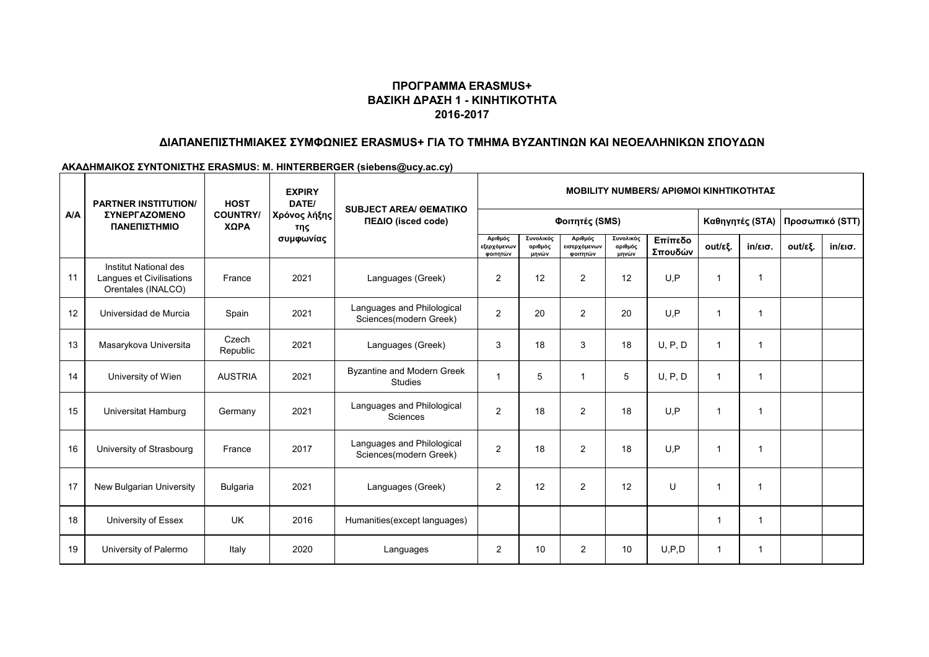# **ΠΡΟΓΡΑΜΜΑ ERASMUS+ ΒΑΣΙΚΗ ΔΡΑΣΗ 1 - ΚΙΝΗΤΙΚΟΤΗΤΑ 2016-2017**

# **ΔΙΑΠΑΝΕΠΙΣΤΗΜΙΑΚΕΣ ΣΥΜΦΩΝΙΕΣ ERASMUS+ ΓΙΑ ΤΟ ΤΜΗΜΑ ΒΥΖΑΝΤΙΝΩΝ ΚΑΙ ΝΕΟΕΛΛΗΝΙΚΩΝ ΣΠΟΥΔΩΝ**

#### **ΑΚΑΔΗΜΑΙΚΟΣ ΣΥΝΤΟΝΙΣΤΗΣ ERASMUS: M. HINTERBERGER (siebens@ucy.ac.cy)**

| <b>A/A</b> | <b>PARTNER INSTITUTION/</b>                                             | <b>HOST</b><br><b>COUNTRY/</b><br>ΧΩΡΑ | <b>EXPIRY</b><br>DATE/<br>Χρόνος λήξης<br>της<br>συμφωνίας | <b>SUBJECT AREA/ GEMATIKO</b><br>ΠΕΔΙΟ (isced code)  | <b>MOBILITY NUMBERS/ ΑΡΙΘΜΟΙ ΚΙΝΗΤΙΚΟΤΗΤΑΣ</b> |                               |                                     |                               |                    |                         |                      |                 |                   |
|------------|-------------------------------------------------------------------------|----------------------------------------|------------------------------------------------------------|------------------------------------------------------|------------------------------------------------|-------------------------------|-------------------------------------|-------------------------------|--------------------|-------------------------|----------------------|-----------------|-------------------|
|            | <b><i>ΣΥΝΕΡΓΑΖΟΜΕΝΟ</i></b><br>ΠΑΝΕΠΙΣΤΗΜΙΟ                             |                                        |                                                            |                                                      | Φοιτητές (SMS)                                 |                               |                                     |                               |                    | Καθηγητές (STA)         |                      | Προσωπικό (STT) |                   |
|            |                                                                         |                                        |                                                            |                                                      | Αριθμός<br>εξερχόμενων<br>φοιτητών             | Συνολικός<br>αριθμός<br>μηνών | Αριθμός<br>εισερχόμενων<br>φοιτητών | Συνολικός<br>αριθμός<br>μηνών | Επίπεδο<br>Σπουδών | out/εξ.                 | $in/\epsilon$ ισ.    | out/εξ.         | $in/\epsilon$ ισ. |
| 11         | Institut National des<br>Langues et Civilisations<br>Orentales (INALCO) | France                                 | 2021                                                       | Languages (Greek)                                    | $\overline{c}$                                 | 12                            | $\overline{2}$                      | 12                            | U.P                | $\overline{1}$          | 1                    |                 |                   |
| 12         | Universidad de Murcia                                                   | Spain                                  | 2021                                                       | Languages and Philological<br>Sciences(modern Greek) | $\overline{2}$                                 | 20                            | $\overline{2}$                      | 20                            | U.P                | $\mathbf 1$             | 1                    |                 |                   |
| 13         | Masarykova Universita                                                   | Czech<br>Republic                      | 2021                                                       | Languages (Greek)                                    | 3                                              | 18                            | 3                                   | 18                            | U, P, D            | $\overline{1}$          | 1                    |                 |                   |
| 14         | University of Wien                                                      | <b>AUSTRIA</b>                         | 2021                                                       | Byzantine and Modern Greek<br><b>Studies</b>         |                                                | 5                             | $\overline{1}$                      | 5                             | U, P, D            | $\overline{1}$          | 1                    |                 |                   |
| 15         | Universitat Hamburg                                                     | Germany                                | 2021                                                       | Languages and Philological<br><b>Sciences</b>        | $\overline{2}$                                 | 18                            | $\overline{2}$                      | 18                            | U.P                | $\overline{1}$          | -1                   |                 |                   |
| 16         | University of Strasbourg                                                | France                                 | 2017                                                       | Languages and Philological<br>Sciences(modern Greek) | $\overline{2}$                                 | 18                            | $\overline{2}$                      | 18                            | U.P                | $\overline{1}$          | $\blacktriangleleft$ |                 |                   |
| 17         | New Bulgarian University                                                | Bulgaria                               | 2021                                                       | Languages (Greek)                                    | $\overline{c}$                                 | 12                            | $\overline{2}$                      | 12                            | U                  | $\overline{1}$          | 1                    |                 |                   |
| 18         | University of Essex                                                     | <b>UK</b>                              | 2016                                                       | Humanities (except languages)                        |                                                |                               |                                     |                               |                    | -1                      | 1                    |                 |                   |
| 19         | University of Palermo                                                   | Italy                                  | 2020                                                       | Languages                                            | $\overline{2}$                                 | 10                            | 2                                   | 10                            | U.P.D              | $\overline{\mathbf{1}}$ | $\mathbf 1$          |                 |                   |